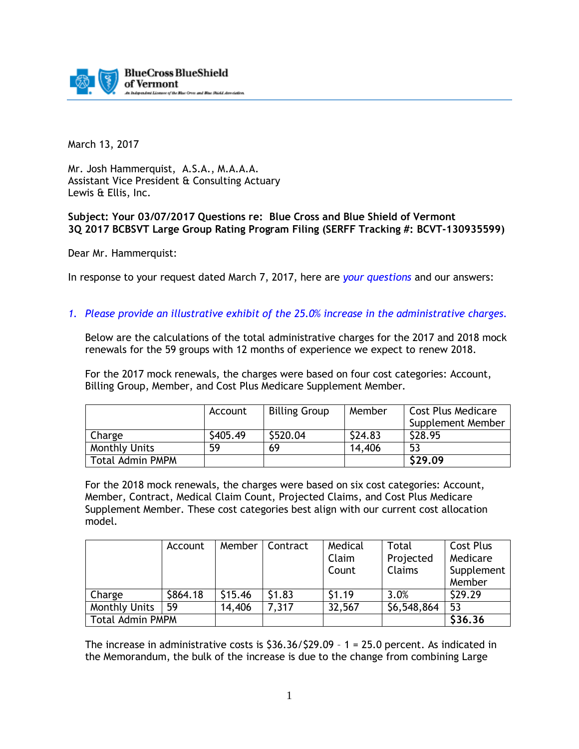

March 13, 2017

Mr. Josh Hammerquist, A.S.A., M.A.A.A. Assistant Vice President & Consulting Actuary Lewis & Ellis, Inc.

## **Subject: Your 03/07/2017 Questions re: Blue Cross and Blue Shield of Vermont 3Q 2017 BCBSVT Large Group Rating Program Filing (SERFF Tracking #: BCVT-130935599)**

Dear Mr. Hammerquist:

In response to your request dated March 7, 2017, here are *your questions* and our answers:

*1. Please provide an illustrative exhibit of the 25.0% increase in the administrative charges.* 

Below are the calculations of the total administrative charges for the 2017 and 2018 mock renewals for the 59 groups with 12 months of experience we expect to renew 2018.

For the 2017 mock renewals, the charges were based on four cost categories: Account, Billing Group, Member, and Cost Plus Medicare Supplement Member.

|                         | Account  | <b>Billing Group</b> | Member  | <b>Cost Plus Medicare</b><br>Supplement Member |
|-------------------------|----------|----------------------|---------|------------------------------------------------|
| Charge                  | \$405.49 | \$520.04             | \$24.83 | \$28.95                                        |
| <b>Monthly Units</b>    | 59       | 69                   | 14,406  | 53                                             |
| <b>Total Admin PMPM</b> |          |                      |         | \$29.09                                        |

For the 2018 mock renewals, the charges were based on six cost categories: Account, Member, Contract, Medical Claim Count, Projected Claims, and Cost Plus Medicare Supplement Member. These cost categories best align with our current cost allocation model.

|                         | Account  | Member  | Contract | Medical | Total         | Cost Plus  |
|-------------------------|----------|---------|----------|---------|---------------|------------|
|                         |          |         |          | Claim   | Projected     | Medicare   |
|                         |          |         |          | Count   | <b>Claims</b> | Supplement |
|                         |          |         |          |         |               | Member     |
| Charge                  | \$864.18 | \$15.46 | \$1.83   | \$1.19  | 3.0%          | \$29.29    |
| <b>Monthly Units</b>    | 59       | 14,406  | 7,317    | 32,567  | \$6,548,864   | 53         |
| <b>Total Admin PMPM</b> |          |         |          |         |               | \$36.36    |

The increase in administrative costs is  $$36.36/\$29.09 - 1 = 25.0$  percent. As indicated in the Memorandum, the bulk of the increase is due to the change from combining Large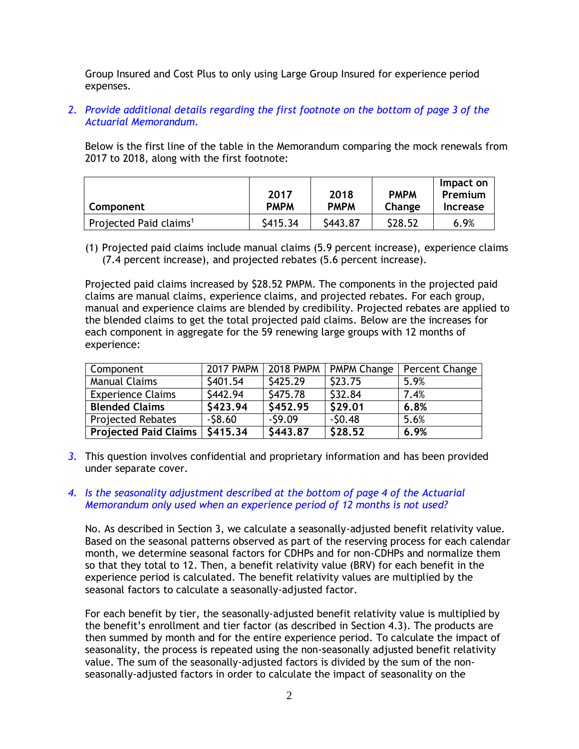Group Insured and Cost Plus to only using Large Group Insured for experience period expenses.

*2. Provide additional details regarding the first footnote on the bottom of page 3 of the Actuarial Memorandum.* 

Below is the first line of the table in the Memorandum comparing the mock renewals from 2017 to 2018, along with the first footnote:

| Component                          | 2017<br><b>PMPM</b> | 2018<br><b>PMPM</b> | <b>PMPM</b><br>Change | Impact on<br>Premium<br>Increase |
|------------------------------------|---------------------|---------------------|-----------------------|----------------------------------|
| Projected Paid claims <sup>1</sup> | S415.34             | \$443.87            | \$28.52               | 6.9%                             |

(1) Projected paid claims include manual claims (5.9 percent increase), experience claims (7.4 percent increase), and projected rebates (5.6 percent increase).

Projected paid claims increased by \$28.52 PMPM. The components in the projected paid claims are manual claims, experience claims, and projected rebates. For each group, manual and experience claims are blended by credibility. Projected rebates are applied to the blended claims to get the total projected paid claims. Below are the increases for each component in aggregate for the 59 renewing large groups with 12 months of experience:

| Component                        |          |          | 2017 PMPM   2018 PMPM   PMPM Change | Percent Change |
|----------------------------------|----------|----------|-------------------------------------|----------------|
| <b>Manual Claims</b>             | \$401.54 | \$425.29 | \$23.75                             | 5.9%           |
| <b>Experience Claims</b>         | \$442.94 | \$475.78 | \$32.84                             | 7.4%           |
| <b>Blended Claims</b>            | \$423.94 | \$452.95 | \$29.01                             | 6.8%           |
| <b>Projected Rebates</b>         | $-58.60$ | $-59.09$ | $-50.48$                            | 5.6%           |
| Projected Paid Claims   \$415.34 |          | \$443.87 | \$28.52                             | 6.9%           |

- *3.* This question involves confidential and proprietary information and has been provided under separate cover.
- *4. Is the seasonality adjustment described at the bottom of page 4 of the Actuarial Memorandum only used when an experience period of 12 months is not used?*

No. As described in Section 3, we calculate a seasonally-adjusted benefit relativity value. Based on the seasonal patterns observed as part of the reserving process for each calendar month, we determine seasonal factors for CDHPs and for non-CDHPs and normalize them so that they total to 12. Then, a benefit relativity value (BRV) for each benefit in the experience period is calculated. The benefit relativity values are multiplied by the seasonal factors to calculate a seasonally-adjusted factor.

For each benefit by tier, the seasonally-adjusted benefit relativity value is multiplied by the benefit's enrollment and tier factor (as described in Section 4.3). The products are then summed by month and for the entire experience period. To calculate the impact of seasonality, the process is repeated using the non-seasonally adjusted benefit relativity value. The sum of the seasonally-adjusted factors is divided by the sum of the nonseasonally-adjusted factors in order to calculate the impact of seasonality on the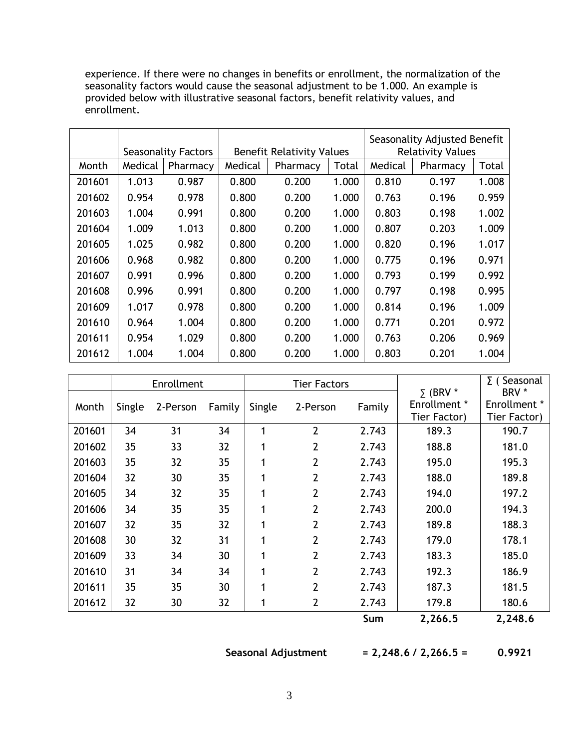experience. If there were no changes in benefits or enrollment, the normalization of the seasonality factors would cause the seasonal adjustment to be 1.000. An example is provided below with illustrative seasonal factors, benefit relativity values, and enrollment.

|        |         | <b>Seasonality Factors</b> | <b>Benefit Relativity Values</b> |          | Seasonality Adjusted Benefit<br><b>Relativity Values</b> |         |          |       |
|--------|---------|----------------------------|----------------------------------|----------|----------------------------------------------------------|---------|----------|-------|
| Month  | Medical | Pharmacy                   | Medical                          | Pharmacy | Total                                                    | Medical | Pharmacy | Total |
| 201601 | 1.013   | 0.987                      | 0.800                            | 0.200    | 1.000                                                    | 0.810   | 0.197    | 1.008 |
| 201602 | 0.954   | 0.978                      | 0.800                            | 0.200    | 1.000                                                    | 0.763   | 0.196    | 0.959 |
| 201603 | 1.004   | 0.991                      | 0.800                            | 0.200    | 1.000                                                    | 0.803   | 0.198    | 1.002 |
| 201604 | 1.009   | 1.013                      | 0.800                            | 0.200    | 1.000                                                    | 0.807   | 0.203    | 1.009 |
| 201605 | 1.025   | 0.982                      | 0.800                            | 0.200    | 1.000                                                    | 0.820   | 0.196    | 1.017 |
| 201606 | 0.968   | 0.982                      | 0.800                            | 0.200    | 1.000                                                    | 0.775   | 0.196    | 0.971 |
| 201607 | 0.991   | 0.996                      | 0.800                            | 0.200    | 1.000                                                    | 0.793   | 0.199    | 0.992 |
| 201608 | 0.996   | 0.991                      | 0.800                            | 0.200    | 1.000                                                    | 0.797   | 0.198    | 0.995 |
| 201609 | 1.017   | 0.978                      | 0.800                            | 0.200    | 1.000                                                    | 0.814   | 0.196    | 1.009 |
| 201610 | 0.964   | 1.004                      | 0.800                            | 0.200    | 1.000                                                    | 0.771   | 0.201    | 0.972 |
| 201611 | 0.954   | 1.029                      | 0.800                            | 0.200    | 1.000                                                    | 0.763   | 0.206    | 0.969 |
| 201612 | 1.004   | 1.004                      | 0.800                            | 0.200    | 1.000                                                    | 0.803   | 0.201    | 1.004 |

|        |        | Enrollment |        | <b>Tier Factors</b> |                | $\Sigma$ (BRV * | $\Sigma$ (Seasonal<br>BRV *         |                              |
|--------|--------|------------|--------|---------------------|----------------|-----------------|-------------------------------------|------------------------------|
| Month  | Single | 2-Person   | Family | Single              | 2-Person       | Family          | <b>Enrollment</b> *<br>Tier Factor) | Enrollment *<br>Tier Factor) |
| 201601 | 34     | 31         | 34     | 1                   | $\overline{2}$ | 2.743           | 189.3                               | 190.7                        |
| 201602 | 35     | 33         | 32     | 1                   | $\overline{2}$ | 2.743           | 188.8                               | 181.0                        |
| 201603 | 35     | 32         | 35     | 1                   | $\overline{2}$ | 2.743           | 195.0                               | 195.3                        |
| 201604 | 32     | 30         | 35     | 1                   | $\overline{2}$ | 2.743           | 188.0                               | 189.8                        |
| 201605 | 34     | 32         | 35     | 1                   | $\overline{2}$ | 2.743           | 194.0                               | 197.2                        |
| 201606 | 34     | 35         | 35     | 1                   | $\overline{2}$ | 2.743           | 200.0                               | 194.3                        |
| 201607 | 32     | 35         | 32     | 1                   | $\overline{2}$ | 2.743           | 189.8                               | 188.3                        |
| 201608 | 30     | 32         | 31     | 1                   | $\overline{2}$ | 2.743           | 179.0                               | 178.1                        |
| 201609 | 33     | 34         | 30     | 1                   | $\overline{2}$ | 2.743           | 183.3                               | 185.0                        |
| 201610 | 31     | 34         | 34     | 1                   | $\overline{2}$ | 2.743           | 192.3                               | 186.9                        |
| 201611 | 35     | 35         | 30     | 1                   | $\overline{2}$ | 2.743           | 187.3                               | 181.5                        |
| 201612 | 32     | 30         | 32     | 1                   | 2              | 2.743           | 179.8                               | 180.6                        |
|        |        |            |        |                     |                | Sum             | 2,266.5                             | 2,248.6                      |

**Seasonal Adjustment = 2,248.6 / 2,266.5 = 0.9921**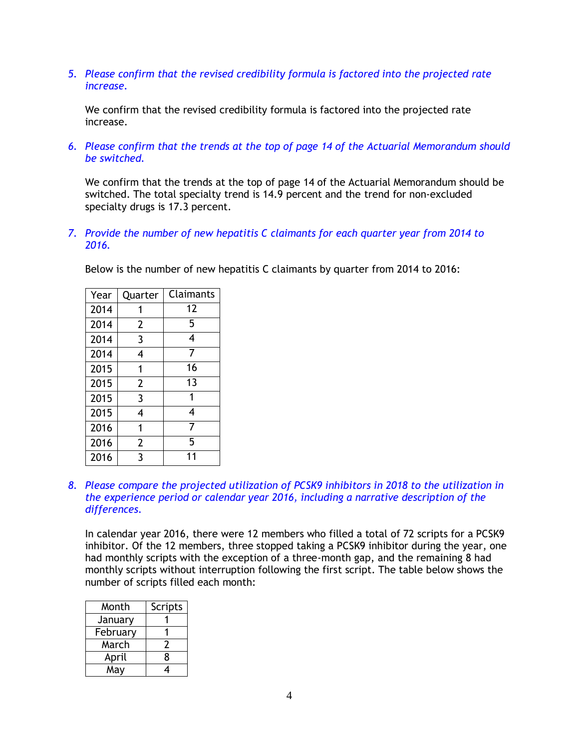*5. Please confirm that the revised credibility formula is factored into the projected rate increase.* 

We confirm that the revised credibility formula is factored into the projected rate increase.

*6. Please confirm that the trends at the top of page 14 of the Actuarial Memorandum should be switched.* 

We confirm that the trends at the top of page 14 of the Actuarial Memorandum should be switched. The total specialty trend is 14.9 percent and the trend for non-excluded specialty drugs is 17.3 percent.

*7. Provide the number of new hepatitis C claimants for each quarter year from 2014 to 2016.* 

Below is the number of new hepatitis C claimants by quarter from 2014 to 2016:

| Year | Quarter        | Claimants |
|------|----------------|-----------|
| 2014 | 1              | 12        |
| 2014 | 2              | 5         |
| 2014 | 3              | 4         |
| 2014 | 4              | 7         |
| 2015 | 1              | 16        |
| 2015 | $\overline{2}$ | 13        |
| 2015 | 3              | 1         |
| 2015 | 4              | 4         |
| 2016 | 1              | 7         |
| 2016 | 2              | 5         |
| 2016 | 3              | 11        |

*8. Please compare the projected utilization of PCSK9 inhibitors in 2018 to the utilization in the experience period or calendar year 2016, including a narrative description of the differences.* 

In calendar year 2016, there were 12 members who filled a total of 72 scripts for a PCSK9 inhibitor. Of the 12 members, three stopped taking a PCSK9 inhibitor during the year, one had monthly scripts with the exception of a three-month gap, and the remaining 8 had monthly scripts without interruption following the first script. The table below shows the number of scripts filled each month:

| Month    | <b>Scripts</b> |
|----------|----------------|
| January  |                |
| February |                |
| March    | 7              |
| April    | 8              |
| May      |                |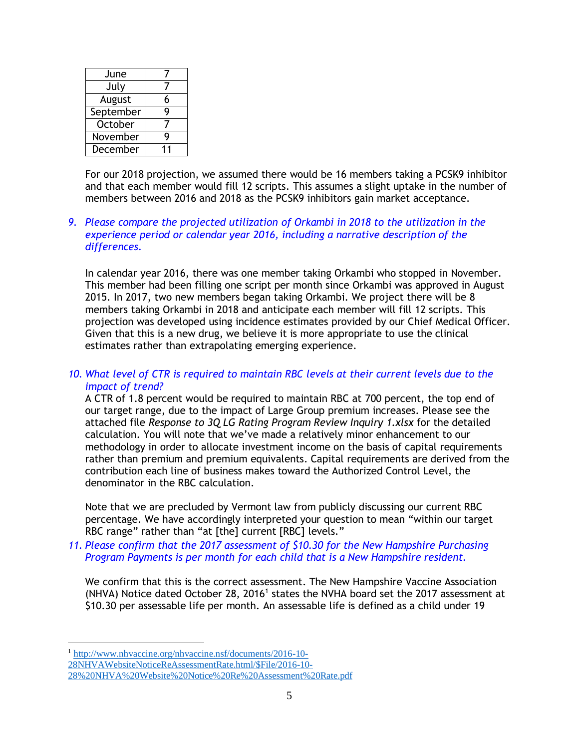| June      |   |
|-----------|---|
| July      |   |
| August    | 6 |
| September | Q |
| October   |   |
| November  | Q |
| December  |   |

For our 2018 projection, we assumed there would be 16 members taking a PCSK9 inhibitor and that each member would fill 12 scripts. This assumes a slight uptake in the number of members between 2016 and 2018 as the PCSK9 inhibitors gain market acceptance.

## *9. Please compare the projected utilization of Orkambi in 2018 to the utilization in the experience period or calendar year 2016, including a narrative description of the differences.*

In calendar year 2016, there was one member taking Orkambi who stopped in November. This member had been filling one script per month since Orkambi was approved in August 2015. In 2017, two new members began taking Orkambi. We project there will be 8 members taking Orkambi in 2018 and anticipate each member will fill 12 scripts. This projection was developed using incidence estimates provided by our Chief Medical Officer. Given that this is a new drug, we believe it is more appropriate to use the clinical estimates rather than extrapolating emerging experience.

## *10. What level of CTR is required to maintain RBC levels at their current levels due to the impact of trend?*

A CTR of 1.8 percent would be required to maintain RBC at 700 percent, the top end of our target range, due to the impact of Large Group premium increases. Please see the attached file *Response to 3Q LG Rating Program Review Inquiry 1.xlsx* for the detailed calculation. You will note that we've made a relatively minor enhancement to our methodology in order to allocate investment income on the basis of capital requirements rather than premium and premium equivalents. Capital requirements are derived from the contribution each line of business makes toward the Authorized Control Level, the denominator in the RBC calculation.

Note that we are precluded by Vermont law from publicly discussing our current RBC percentage. We have accordingly interpreted your question to mean "within our target RBC range" rather than "at [the] current [RBC] levels."

*11. Please confirm that the 2017 assessment of \$10.30 for the New Hampshire Purchasing Program Payments is per month for each child that is a New Hampshire resident.* 

We confirm that this is the correct assessment. The New Hampshire Vaccine Association (NHVA) Notice dated October 28, 2016<sup>1</sup> states the NVHA board set the 2017 assessment at \$10.30 per assessable life per month. An assessable life is defined as a child under 19

 $\overline{a}$ 

[28NHVAWebsiteNoticeReAssessmentRate.html/\\$File/2016-10-](http://www.nhvaccine.org/nhvaccine.nsf/documents/2016-10-28NHVAWebsiteNoticeReAssessmentRate.html/$File/2016-10-28%20NHVA%20Website%20Notice%20Re%20Assessment%20Rate.pdf)

<sup>1</sup> [http://www.nhvaccine.org/nhvaccine.nsf/documents/2016-10-](http://www.nhvaccine.org/nhvaccine.nsf/documents/2016-10-28NHVAWebsiteNoticeReAssessmentRate.html/$File/2016-10-28%20NHVA%20Website%20Notice%20Re%20Assessment%20Rate.pdf)

[<sup>28%20</sup>NHVA%20Website%20Notice%20Re%20Assessment%20Rate.pdf](http://www.nhvaccine.org/nhvaccine.nsf/documents/2016-10-28NHVAWebsiteNoticeReAssessmentRate.html/$File/2016-10-28%20NHVA%20Website%20Notice%20Re%20Assessment%20Rate.pdf)